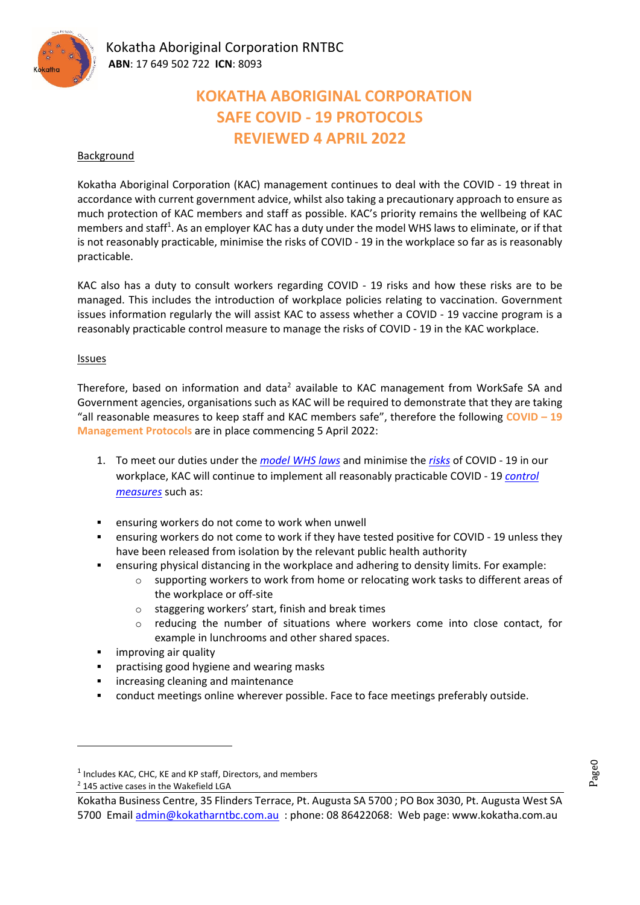

# **KOKATHA ABORIGINAL CORPORATION SAFE COVID ‐ 19 PROTOCOLS REVIEWED 4 APRIL 2022**

### Background

Kokatha Aboriginal Corporation (KAC) management continues to deal with the COVID ‐ 19 threat in accordance with current government advice, whilst also taking a precautionary approach to ensure as much protection of KAC members and staff as possible. KAC's priority remains the wellbeing of KAC members and staff<sup>1</sup>. As an employer KAC has a duty under the model WHS laws to eliminate, or if that is not reasonably practicable, minimise the risks of COVID ‐ 19 in the workplace so far as is reasonably practicable.

KAC also has a duty to consult workers regarding COVID - 19 risks and how these risks are to be managed. This includes the introduction of workplace policies relating to vaccination. Government issues information regularly the will assist KAC to assess whether a COVID ‐ 19 vaccine program is a reasonably practicable control measure to manage the risks of COVID ‐ 19 in the KAC workplace.

#### Issues

Therefore, based on information and data<sup>2</sup> available to KAC management from WorkSafe SA and Government agencies, organisations such as KAC will be required to demonstrate that they are taking "all reasonable measures to keep staff and KAC members safe", therefore the following **COVID – 19 Management Protocols** are in place commencing 5 April 2022:

- 1. To meet our duties under the *model WHS laws* and minimise the *risks* of COVID ‐ 19 in our workplace, KAC will continue to implement all reasonably practicable COVID ‐ 19 *control measures* such as:
- ensuring workers do not come to work when unwell
- ensuring workers do not come to work if they have tested positive for COVID ‐ 19 unless they have been released from isolation by the relevant public health authority
- ensuring physical distancing in the workplace and adhering to density limits. For example:
	- o supporting workers to work from home or relocating work tasks to different areas of the workplace or off‐site
	- o staggering workers' start, finish and break times
	- o reducing the number of situations where workers come into close contact, for example in lunchrooms and other shared spaces.
- improving air quality
- **•** practising good hygiene and wearing masks
- **EXED:** increasing cleaning and maintenance
- conduct meetings online wherever possible. Face to face meetings preferably outside.

 $1$  Includes KAC, CHC, KE and KP staff, Directors, and members

<sup>2</sup> 145 active cases in the Wakefield LGA

Kokatha Business Centre, 35 Flinders Terrace, Pt. Augusta SA 5700 ; PO Box 3030, Pt. Augusta West SA 5700 Email admin@kokatharntbc.com.au : phone: 08 86422068: Web page: www.kokatha.com.au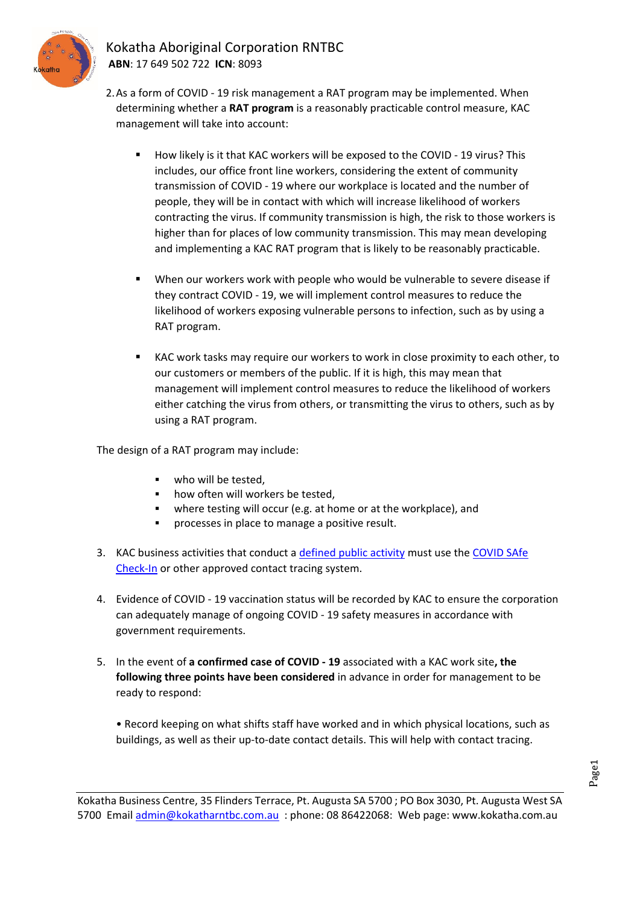

## Kokatha Aboriginal Corporation RNTBC **ABN**: 17 649 502 722 **ICN**: 8093

2.As a form of COVID ‐ 19 risk management a RAT program may be implemented. When determining whether a **RAT program** is a reasonably practicable control measure, KAC management will take into account:

- How likely is it that KAC workers will be exposed to the COVID 19 virus? This includes, our office front line workers, considering the extent of community transmission of COVID ‐ 19 where our workplace is located and the number of people, they will be in contact with which will increase likelihood of workers contracting the virus. If community transmission is high, the risk to those workers is higher than for places of low community transmission. This may mean developing and implementing a KAC RAT program that is likely to be reasonably practicable.
- When our workers work with people who would be vulnerable to severe disease if they contract COVID ‐ 19, we will implement control measures to reduce the likelihood of workers exposing vulnerable persons to infection, such as by using a RAT program.
- KAC work tasks may require our workers to work in close proximity to each other, to our customers or members of the public. If it is high, this may mean that management will implement control measures to reduce the likelihood of workers either catching the virus from others, or transmitting the virus to others, such as by using a RAT program.

The design of a RAT program may include:

- **who will be tested.**
- how often will workers be tested,
- where testing will occur (e.g. at home or at the workplace), and
- processes in place to manage a positive result.
- 3. KAC business activities that conduct a defined public activity must use the COVID SAfe Check‐In or other approved contact tracing system.
- 4. Evidence of COVID ‐ 19 vaccination status will be recorded by KAC to ensure the corporation can adequately manage of ongoing COVID ‐ 19 safety measures in accordance with government requirements.
- 5. In the event of **a confirmed case of COVID ‐ 19** associated with a KAC work site**, the following three points have been considered** in advance in order for management to be ready to respond:
	- Record keeping on what shifts staff have worked and in which physical locations, such as buildings, as well as their up‐to‐date contact details. This will help with contact tracing.

Kokatha Business Centre, 35 Flinders Terrace, Pt. Augusta SA 5700 ; PO Box 3030, Pt. Augusta West SA 5700 Email admin@kokatharntbc.com.au : phone: 08 86422068: Web page: www.kokatha.com.au